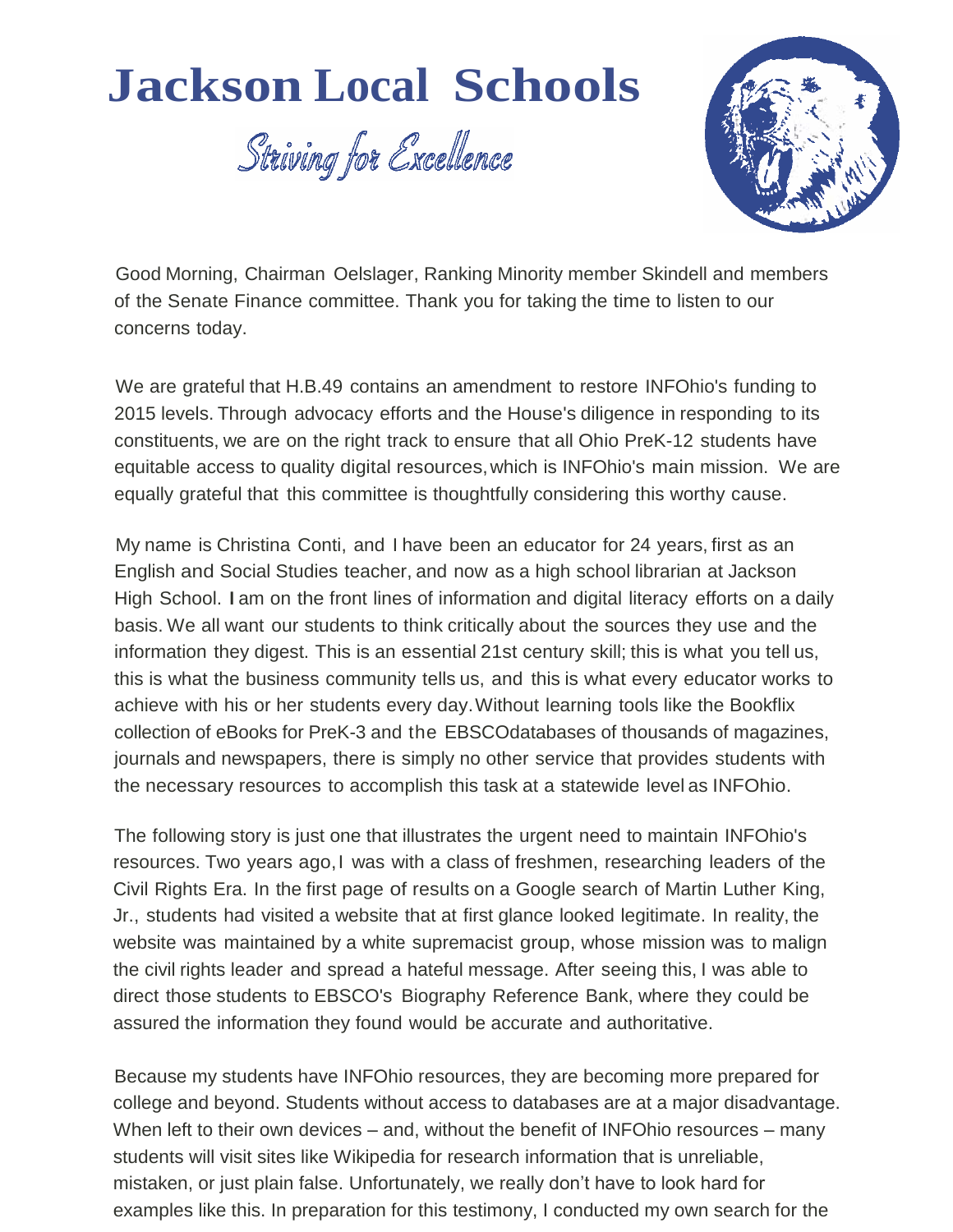## **Jackson Local Schools**

Striving for Excellence



Good Morning, Chairman Oelslager, Ranking Minority member Skindell and members of the Senate Finance committee. Thank you for taking the time to listen to our concerns today.

We are grateful that H.B.49 contains an amendment to restore INFOhio's funding to 2015 levels. Through advocacy efforts and the House's diligence in responding to its constituents, we are on the right track to ensure that all Ohio PreK-12 students have equitable access to quality digital resources,which is INFOhio's main mission. We are equally grateful that this committee is thoughtfully considering this worthy cause.

My name is Christina Conti, and I have been an educator for 24 years, first as an English and Social Studies teacher, and now as a high school librarian at Jackson High School. Iam on the front lines of information and digital literacy efforts on a daily basis. We all want our students to think critically about the sources they use and the information they digest. This is an essential 21st century skill; this is what you tell us, this is what the business community tells us, and this is what every educator works to achieve with his or her students every day.Without learning tools like the Bookflix collection of eBooks for PreK-3 and the EBSCOdatabases of thousands of magazines, journals and newspapers, there is simply no other service that provides students with the necessary resources to accomplish this task at a statewide level as INFOhio.

The following story is just one that illustrates the urgent need to maintain INFOhio's resources. Two years ago,I was with a class of freshmen, researching leaders of the Civil Rights Era. In the first page of results on a Google search of Martin Luther King, Jr., students had visited a website that at first glance looked legitimate. In reality, the website was maintained by a white supremacist group, whose mission was to malign the civil rights leader and spread a hateful message. After seeing this, I was able to direct those students to EBSCO's Biography Reference Bank, where they could be assured the information they found would be accurate and authoritative.

Because my students have INFOhio resources, they are becoming more prepared for college and beyond. Students without access to databases are at a major disadvantage. When left to their own devices – and, without the benefit of INFOhio resources – many students will visit sites like Wikipedia for research information that is unreliable, mistaken, or just plain false. Unfortunately, we really don't have to look hard for examples like this. In preparation for this testimony, I conducted my own search for the